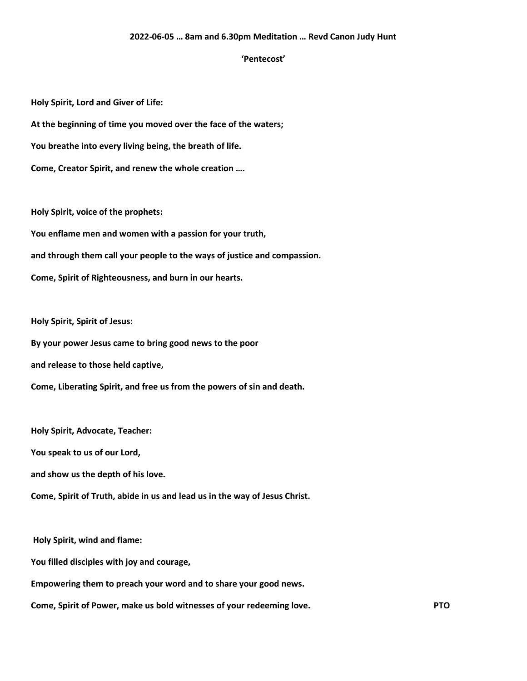## **2022-06-05 … 8am and 6.30pm Meditation … Revd Canon Judy Hunt**

## **'Pentecost'**

**Holy Spirit, Lord and Giver of Life:**

**At the beginning of time you moved over the face of the waters;**

**You breathe into every living being, the breath of life.**

**Come, Creator Spirit, and renew the whole creation ….**

**Holy Spirit, voice of the prophets:**

**You enflame men and women with a passion for your truth,**

**and through them call your people to the ways of justice and compassion.**

**Come, Spirit of Righteousness, and burn in our hearts.**

**Holy Spirit, Spirit of Jesus:**

**By your power Jesus came to bring good news to the poor**

**and release to those held captive,**

**Come, Liberating Spirit, and free us from the powers of sin and death.**

**Holy Spirit, Advocate, Teacher: You speak to us of our Lord, and show us the depth of his love. Come, Spirit of Truth, abide in us and lead us in the way of Jesus Christ.**

**Holy Spirit, wind and flame:**

**You filled disciples with joy and courage,**

**Empowering them to preach your word and to share your good news.**

**Come, Spirit of Power, make us bold witnesses of your redeeming love. PTO**